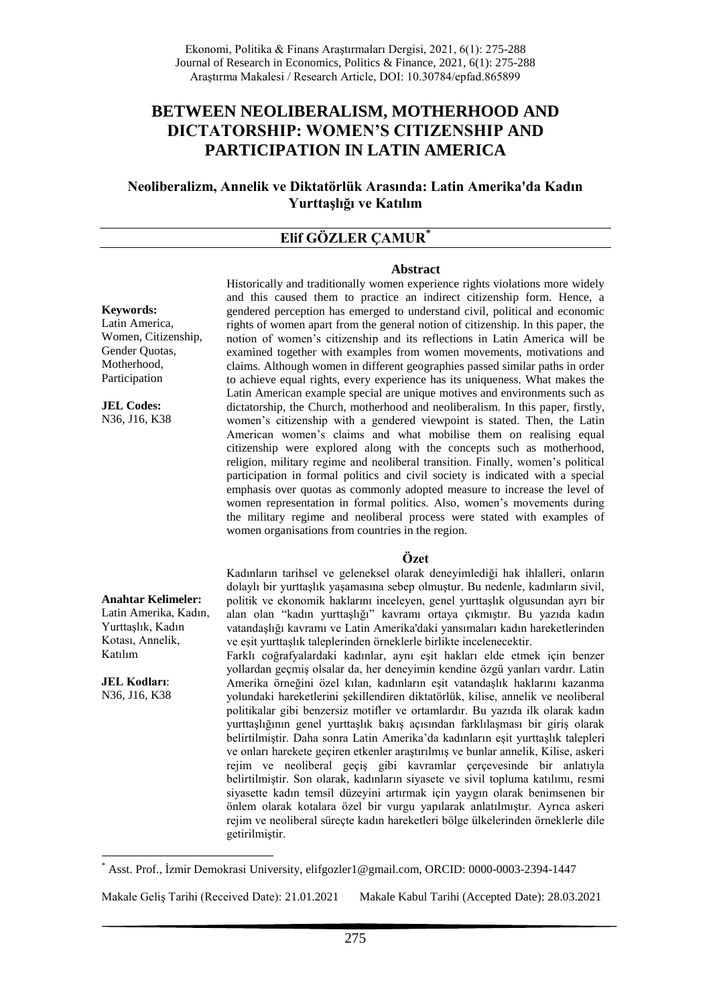# **BETWEEN NEOLIBERALISM, MOTHERHOOD AND DICTATORSHIP: WOMEN'S CITIZENSHIP AND PARTICIPATION IN LATIN AMERICA**

**Neoliberalizm, Annelik ve Diktatörlük Arasında: Latin Amerika'da Kadın Yurttaşlığı ve Katılım**

## **Elif GÖZLER ÇAMUR\***

#### **Abstract**

#### **Keywords:**

Latin America, Women, Citizenship, Gender Quotas, Motherhood, Participation

**JEL Codes:**  N36, J16, K38

Historically and traditionally women experience rights violations more widely and this caused them to practice an indirect citizenship form. Hence, a gendered perception has emerged to understand civil, political and economic rights of women apart from the general notion of citizenship. In this paper, the notion of women's citizenship and its reflections in Latin America will be examined together with examples from women movements, motivations and claims. Although women in different geographies passed similar paths in order to achieve equal rights, every experience has its uniqueness. What makes the Latin American example special are unique motives and environments such as dictatorship, the Church, motherhood and neoliberalism. In this paper, firstly, women's citizenship with a gendered viewpoint is stated. Then, the Latin American women's claims and what mobilise them on realising equal citizenship were explored along with the concepts such as motherhood, religion, military regime and neoliberal transition. Finally, women's political participation in formal politics and civil society is indicated with a special emphasis over quotas as commonly adopted measure to increase the level of women representation in formal politics. Also, women's movements during the military regime and neoliberal process were stated with examples of women organisations from countries in the region.

#### **Özet**

**Anahtar Kelimeler:** Latin Amerika, Kadın, Yurttaşlık, Kadın Kotası, Annelik, Katılım

**JEL Kodları**: N36, J16, K38

**.** 

Kadınların tarihsel ve geleneksel olarak deneyimlediği hak ihlalleri, onların dolaylı bir yurttaşlık yaşamasına sebep olmuştur. Bu nedenle, kadınların sivil, politik ve ekonomik haklarını inceleyen, genel yurttaşlık olgusundan ayrı bir alan olan "kadın yurttaşlığı" kavramı ortaya çıkmıştır. Bu yazıda kadın vatandaşlığı kavramı ve Latin Amerika'daki yansımaları kadın hareketlerinden ve eşit yurttaşlık taleplerinden örneklerle birlikte incelenecektir.

Farklı coğrafyalardaki kadınlar, aynı eşit hakları elde etmek için benzer yollardan geçmiş olsalar da, her deneyimin kendine özgü yanları vardır. Latin Amerika örneğini özel kılan, kadınların eşit vatandaşlık haklarını kazanma yolundaki hareketlerini şekillendiren diktatörlük, kilise, annelik ve neoliberal politikalar gibi benzersiz motifler ve ortamlardır. Bu yazıda ilk olarak kadın yurttaşlığının genel yurttaşlık bakış açısından farklılaşması bir giriş olarak belirtilmiştir. Daha sonra Latin Amerika'da kadınların eşit yurttaşlık talepleri ve onları harekete geçiren etkenler araştırılmış ve bunlar annelik, Kilise, askeri rejim ve neoliberal geçiş gibi kavramlar çerçevesinde bir anlatıyla belirtilmiştir. Son olarak, kadınların siyasete ve sivil topluma katılımı, resmi siyasette kadın temsil düzeyini artırmak için yaygın olarak benimsenen bir önlem olarak kotalara özel bir vurgu yapılarak anlatılmıştır. Ayrıca askeri rejim ve neoliberal süreçte kadın hareketleri bölge ülkelerinden örneklerle dile getirilmiştir.

Makale Geliş Tarihi (Received Date): 21.01.2021 Makale Kabul Tarihi (Accepted Date): 28.03.2021

<sup>\*</sup> Asst. Prof., İzmir Demokrasi University, [elifgozler1@gmail.com,](mailto:elifgozler1@gmail.com) ORCID: [0000-0003-2394-1447](https://orcid.org/0000-0003-2394-1447)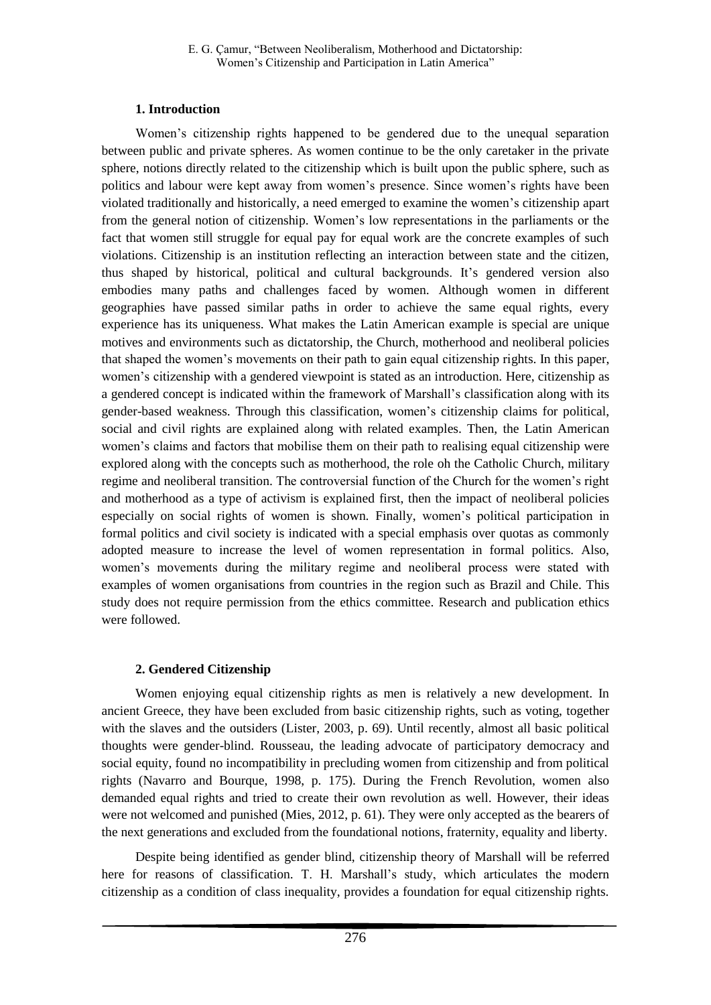# **1. Introduction**

Women's citizenship rights happened to be gendered due to the unequal separation between public and private spheres. As women continue to be the only caretaker in the private sphere, notions directly related to the citizenship which is built upon the public sphere, such as politics and labour were kept away from women's presence. Since women's rights have been violated traditionally and historically, a need emerged to examine the women's citizenship apart from the general notion of citizenship. Women's low representations in the parliaments or the fact that women still struggle for equal pay for equal work are the concrete examples of such violations. Citizenship is an institution reflecting an interaction between state and the citizen, thus shaped by historical, political and cultural backgrounds. It's gendered version also embodies many paths and challenges faced by women. Although women in different geographies have passed similar paths in order to achieve the same equal rights, every experience has its uniqueness. What makes the Latin American example is special are unique motives and environments such as dictatorship, the Church, motherhood and neoliberal policies that shaped the women's movements on their path to gain equal citizenship rights. In this paper, women's citizenship with a gendered viewpoint is stated as an introduction. Here, citizenship as a gendered concept is indicated within the framework of Marshall's classification along with its gender-based weakness. Through this classification, women's citizenship claims for political, social and civil rights are explained along with related examples. Then, the Latin American women's claims and factors that mobilise them on their path to realising equal citizenship were explored along with the concepts such as motherhood, the role oh the Catholic Church, military regime and neoliberal transition. The controversial function of the Church for the women's right and motherhood as a type of activism is explained first, then the impact of neoliberal policies especially on social rights of women is shown. Finally, women's political participation in formal politics and civil society is indicated with a special emphasis over quotas as commonly adopted measure to increase the level of women representation in formal politics. Also, women's movements during the military regime and neoliberal process were stated with examples of women organisations from countries in the region such as Brazil and Chile. This study does not require permission from the ethics committee. Research and publication ethics were followed.

### **2. Gendered Citizenship**

Women enjoying equal citizenship rights as men is relatively a new development. In ancient Greece, they have been excluded from basic citizenship rights, such as voting, together with the slaves and the outsiders (Lister, 2003, p. 69). Until recently, almost all basic political thoughts were gender-blind. Rousseau, the leading advocate of participatory democracy and social equity, found no incompatibility in precluding women from citizenship and from political rights (Navarro and Bourque, 1998, p. 175). During the French Revolution, women also demanded equal rights and tried to create their own revolution as well. However, their ideas were not welcomed and punished (Mies, 2012, p. 61). They were only accepted as the bearers of the next generations and excluded from the foundational notions, fraternity, equality and liberty.

Despite being identified as gender blind, citizenship theory of Marshall will be referred here for reasons of classification. T. H. Marshall's study, which articulates the modern citizenship as a condition of class inequality, provides a foundation for equal citizenship rights.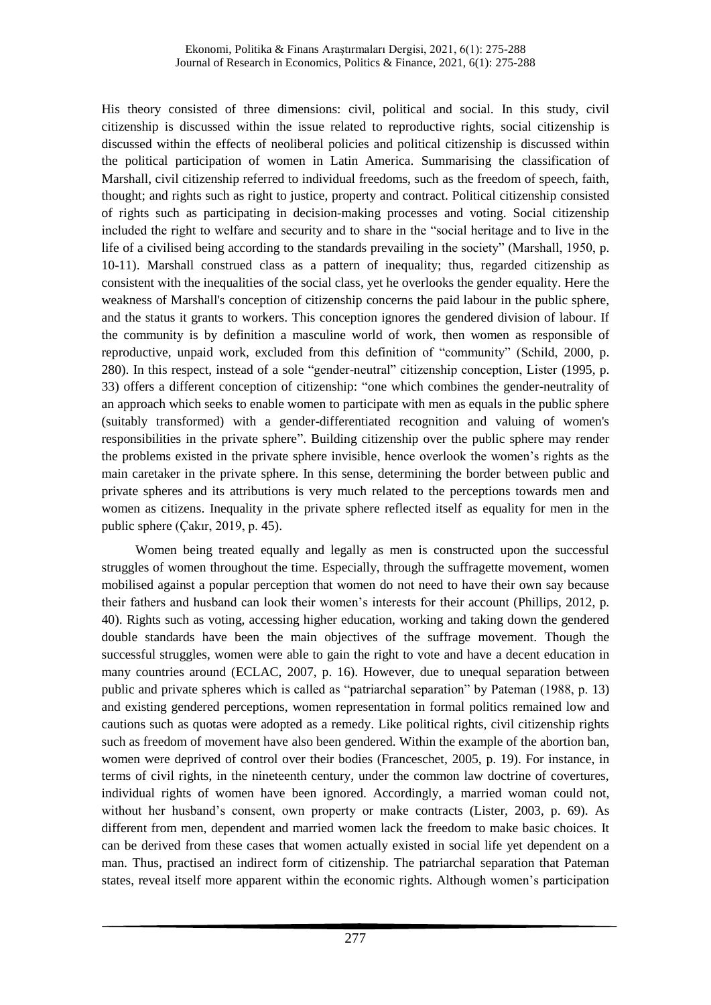His theory consisted of three dimensions: civil, political and social. In this study, civil citizenship is discussed within the issue related to reproductive rights, social citizenship is discussed within the effects of neoliberal policies and political citizenship is discussed within the political participation of women in Latin America. Summarising the classification of Marshall, civil citizenship referred to individual freedoms, such as the freedom of speech, faith, thought; and rights such as right to justice, property and contract. Political citizenship consisted of rights such as participating in decision-making processes and voting. Social citizenship included the right to welfare and security and to share in the "social heritage and to live in the life of a civilised being according to the standards prevailing in the society" (Marshall, 1950, p. 10-11). Marshall construed class as a pattern of inequality; thus, regarded citizenship as consistent with the inequalities of the social class, yet he overlooks the gender equality. Here the weakness of Marshall's conception of citizenship concerns the paid labour in the public sphere, and the status it grants to workers. This conception ignores the gendered division of labour. If the community is by definition a masculine world of work, then women as responsible of reproductive, unpaid work, excluded from this definition of "community" (Schild, 2000, p. 280). In this respect, instead of a sole "gender-neutral" citizenship conception, Lister (1995, p. 33) offers a different conception of citizenship: "one which combines the gender-neutrality of an approach which seeks to enable women to participate with men as equals in the public sphere (suitably transformed) with a gender-differentiated recognition and valuing of women's responsibilities in the private sphere". Building citizenship over the public sphere may render the problems existed in the private sphere invisible, hence overlook the women's rights as the main caretaker in the private sphere. In this sense, determining the border between public and private spheres and its attributions is very much related to the perceptions towards men and women as citizens. Inequality in the private sphere reflected itself as equality for men in the public sphere (Çakır, 2019, p. 45).

Women being treated equally and legally as men is constructed upon the successful struggles of women throughout the time. Especially, through the suffragette movement, women mobilised against a popular perception that women do not need to have their own say because their fathers and husband can look their women's interests for their account (Phillips, 2012, p. 40). Rights such as voting, accessing higher education, working and taking down the gendered double standards have been the main objectives of the suffrage movement. Though the successful struggles, women were able to gain the right to vote and have a decent education in many countries around (ECLAC, 2007, p. 16). However, due to unequal separation between public and private spheres which is called as "patriarchal separation" by Pateman (1988, p. 13) and existing gendered perceptions, women representation in formal politics remained low and cautions such as quotas were adopted as a remedy. Like political rights, civil citizenship rights such as freedom of movement have also been gendered. Within the example of the abortion ban, women were deprived of control over their bodies (Franceschet, 2005, p. 19). For instance, in terms of civil rights, in the nineteenth century, under the common law doctrine of covertures, individual rights of women have been ignored. Accordingly, a married woman could not, without her husband's consent, own property or make contracts (Lister, 2003, p. 69). As different from men, dependent and married women lack the freedom to make basic choices. It can be derived from these cases that women actually existed in social life yet dependent on a man. Thus, practised an indirect form of citizenship. The patriarchal separation that Pateman states, reveal itself more apparent within the economic rights. Although women's participation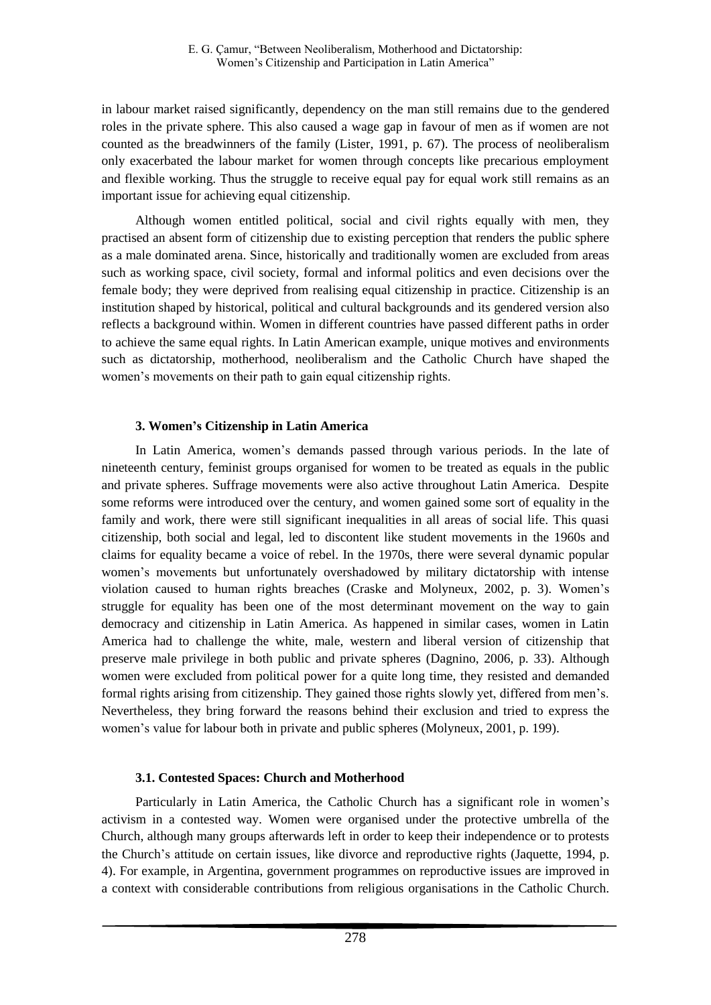#### E. G. Çamur, "Between Neoliberalism, Motherhood and Dictatorship: Women's Citizenship and Participation in Latin America"

in labour market raised significantly, dependency on the man still remains due to the gendered roles in the private sphere. This also caused a wage gap in favour of men as if women are not counted as the breadwinners of the family (Lister, 1991, p. 67). The process of neoliberalism only exacerbated the labour market for women through concepts like precarious employment and flexible working. Thus the struggle to receive equal pay for equal work still remains as an important issue for achieving equal citizenship.

Although women entitled political, social and civil rights equally with men, they practised an absent form of citizenship due to existing perception that renders the public sphere as a male dominated arena. Since, historically and traditionally women are excluded from areas such as working space, civil society, formal and informal politics and even decisions over the female body; they were deprived from realising equal citizenship in practice. Citizenship is an institution shaped by historical, political and cultural backgrounds and its gendered version also reflects a background within. Women in different countries have passed different paths in order to achieve the same equal rights. In Latin American example, unique motives and environments such as dictatorship, motherhood, neoliberalism and the Catholic Church have shaped the women's movements on their path to gain equal citizenship rights.

### **3. Women's Citizenship in Latin America**

In Latin America, women's demands passed through various periods. In the late of nineteenth century, feminist groups organised for women to be treated as equals in the public and private spheres. Suffrage movements were also active throughout Latin America. Despite some reforms were introduced over the century, and women gained some sort of equality in the family and work, there were still significant inequalities in all areas of social life. This quasi citizenship, both social and legal, led to discontent like student movements in the 1960s and claims for equality became a voice of rebel. In the 1970s, there were several dynamic popular women's movements but unfortunately overshadowed by military dictatorship with intense violation caused to human rights breaches (Craske and Molyneux, 2002, p. 3). Women's struggle for equality has been one of the most determinant movement on the way to gain democracy and citizenship in Latin America. As happened in similar cases, women in Latin America had to challenge the white, male, western and liberal version of citizenship that preserve male privilege in both public and private spheres (Dagnino, 2006, p. 33). Although women were excluded from political power for a quite long time, they resisted and demanded formal rights arising from citizenship. They gained those rights slowly yet, differed from men's. Nevertheless, they bring forward the reasons behind their exclusion and tried to express the women's value for labour both in private and public spheres (Molyneux, 2001, p. 199).

### **3.1. Contested Spaces: Church and Motherhood**

Particularly in Latin America, the Catholic Church has a significant role in women's activism in a contested way. Women were organised under the protective umbrella of the Church, although many groups afterwards left in order to keep their independence or to protests the Church's attitude on certain issues, like divorce and reproductive rights (Jaquette, 1994, p. 4). For example, in Argentina, government programmes on reproductive issues are improved in a context with considerable contributions from religious organisations in the Catholic Church.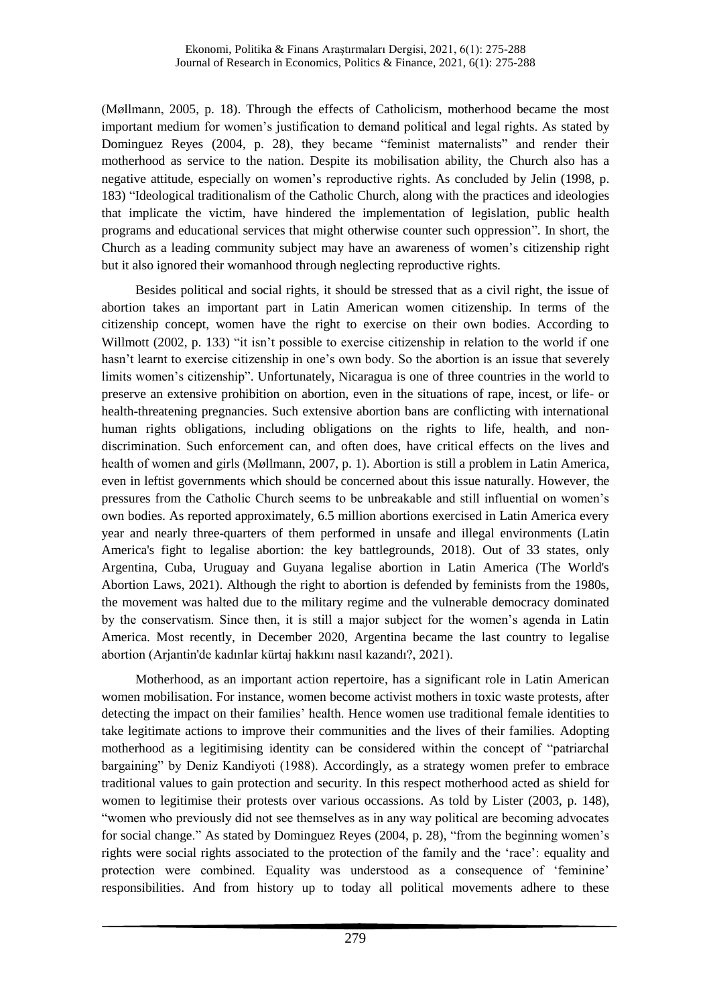(Møllmann, 2005, p. 18). Through the effects of Catholicism, motherhood became the most important medium for women's justification to demand political and legal rights. As stated by Dominguez Reyes (2004, p. 28), they became "feminist maternalists" and render their motherhood as service to the nation. Despite its mobilisation ability, the Church also has a negative attitude, especially on women's reproductive rights. As concluded by Jelin (1998, p. 183) "Ideological traditionalism of the Catholic Church, along with the practices and ideologies that implicate the victim, have hindered the implementation of legislation, public health programs and educational services that might otherwise counter such oppression". In short, the Church as a leading community subject may have an awareness of women's citizenship right but it also ignored their womanhood through neglecting reproductive rights.

Besides political and social rights, it should be stressed that as a civil right, the issue of abortion takes an important part in Latin American women citizenship. In terms of the citizenship concept, women have the right to exercise on their own bodies. According to Willmott (2002, p. 133) "it isn't possible to exercise citizenship in relation to the world if one hasn't learnt to exercise citizenship in one's own body. So the abortion is an issue that severely limits women's citizenship". Unfortunately, Nicaragua is one of three countries in the world to preserve an extensive prohibition on abortion, even in the situations of rape, incest, or life- or health-threatening pregnancies. Such extensive abortion bans are conflicting with international human rights obligations, including obligations on the rights to life, health, and nondiscrimination. Such enforcement can, and often does, have critical effects on the lives and health of women and girls (Møllmann, 2007, p. 1). Abortion is still a problem in Latin America, even in leftist governments which should be concerned about this issue naturally. However, the pressures from the Catholic Church seems to be unbreakable and still influential on women's own bodies. As reported approximately, 6.5 million abortions exercised in Latin America every year and nearly three-quarters of them performed in unsafe and illegal environments (Latin America's fight to legalise abortion: the key battlegrounds, 2018). Out of 33 states, only Argentina, Cuba, Uruguay and Guyana legalise abortion in Latin America (The World's Abortion Laws, 2021). Although the right to abortion is defended by feminists from the 1980s, the movement was halted due to the military regime and the vulnerable democracy dominated by the conservatism. Since then, it is still a major subject for the women's agenda in Latin America. Most recently, in December 2020, Argentina became the last country to legalise abortion (Arjantin'de kadınlar kürtaj hakkını nasıl kazandı?, 2021).

Motherhood, as an important action repertoire, has a significant role in Latin American women mobilisation. For instance, women become activist mothers in toxic waste protests, after detecting the impact on their families' health. Hence women use traditional female identities to take legitimate actions to improve their communities and the lives of their families. Adopting motherhood as a legitimising identity can be considered within the concept of "patriarchal bargaining" by Deniz Kandiyoti (1988). Accordingly, as a strategy women prefer to embrace traditional values to gain protection and security. In this respect motherhood acted as shield for women to legitimise their protests over various occassions. As told by Lister (2003, p. 148), "women who previously did not see themselves as in any way political are becoming advocates for social change." As stated by Dominguez Reyes (2004, p. 28), "from the beginning women's rights were social rights associated to the protection of the family and the 'race': equality and protection were combined. Equality was understood as a consequence of 'feminine' responsibilities. And from history up to today all political movements adhere to these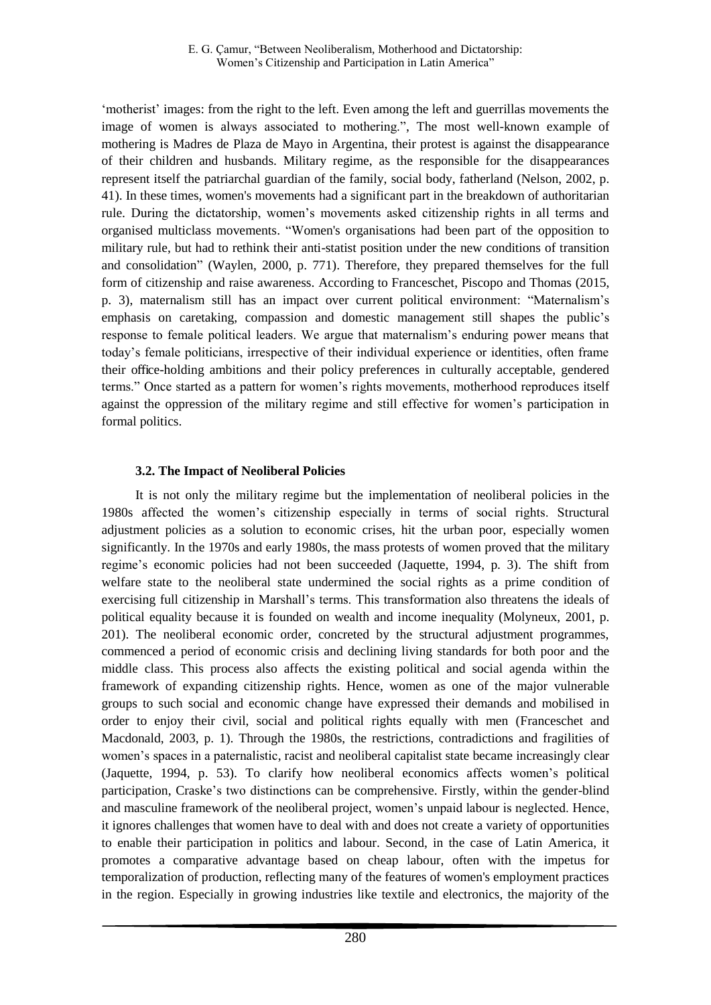'motherist' images: from the right to the left. Even among the left and guerrillas movements the image of women is always associated to mothering.", The most well-known example of mothering is Madres de Plaza de Mayo in Argentina, their protest is against the disappearance of their children and husbands. Military regime, as the responsible for the disappearances represent itself the patriarchal guardian of the family, social body, fatherland (Nelson, 2002, p. 41). In these times, women's movements had a significant part in the breakdown of authoritarian rule. During the dictatorship, women's movements asked citizenship rights in all terms and organised multiclass movements. "Women's organisations had been part of the opposition to military rule, but had to rethink their anti-statist position under the new conditions of transition and consolidation" (Waylen, 2000, p. 771). Therefore, they prepared themselves for the full form of citizenship and raise awareness. According to Franceschet, Piscopo and Thomas (2015, p. 3), maternalism still has an impact over current political environment: "Maternalism's emphasis on caretaking, compassion and domestic management still shapes the public's response to female political leaders. We argue that maternalism's enduring power means that today's female politicians, irrespective of their individual experience or identities, often frame their office-holding ambitions and their policy preferences in culturally acceptable, gendered terms." Once started as a pattern for women's rights movements, motherhood reproduces itself against the oppression of the military regime and still effective for women's participation in formal politics.

### **3.2. The Impact of Neoliberal Policies**

It is not only the military regime but the implementation of neoliberal policies in the 1980s affected the women's citizenship especially in terms of social rights. Structural adjustment policies as a solution to economic crises, hit the urban poor, especially women significantly. In the 1970s and early 1980s, the mass protests of women proved that the military regime's economic policies had not been succeeded (Jaquette, 1994, p. 3). The shift from welfare state to the neoliberal state undermined the social rights as a prime condition of exercising full citizenship in Marshall's terms. This transformation also threatens the ideals of political equality because it is founded on wealth and income inequality (Molyneux, 2001, p. 201). The neoliberal economic order, concreted by the structural adjustment programmes, commenced a period of economic crisis and declining living standards for both poor and the middle class. This process also affects the existing political and social agenda within the framework of expanding citizenship rights. Hence, women as one of the major vulnerable groups to such social and economic change have expressed their demands and mobilised in order to enjoy their civil, social and political rights equally with men (Franceschet and Macdonald, 2003, p. 1). Through the 1980s, the restrictions, contradictions and fragilities of women's spaces in a paternalistic, racist and neoliberal capitalist state became increasingly clear (Jaquette, 1994, p. 53). To clarify how neoliberal economics affects women's political participation, Craske's two distinctions can be comprehensive. Firstly, within the gender-blind and masculine framework of the neoliberal project, women's unpaid labour is neglected. Hence, it ignores challenges that women have to deal with and does not create a variety of opportunities to enable their participation in politics and labour. Second, in the case of Latin America, it promotes a comparative advantage based on cheap labour, often with the impetus for temporalization of production, reflecting many of the features of women's employment practices in the region. Especially in growing industries like textile and electronics, the majority of the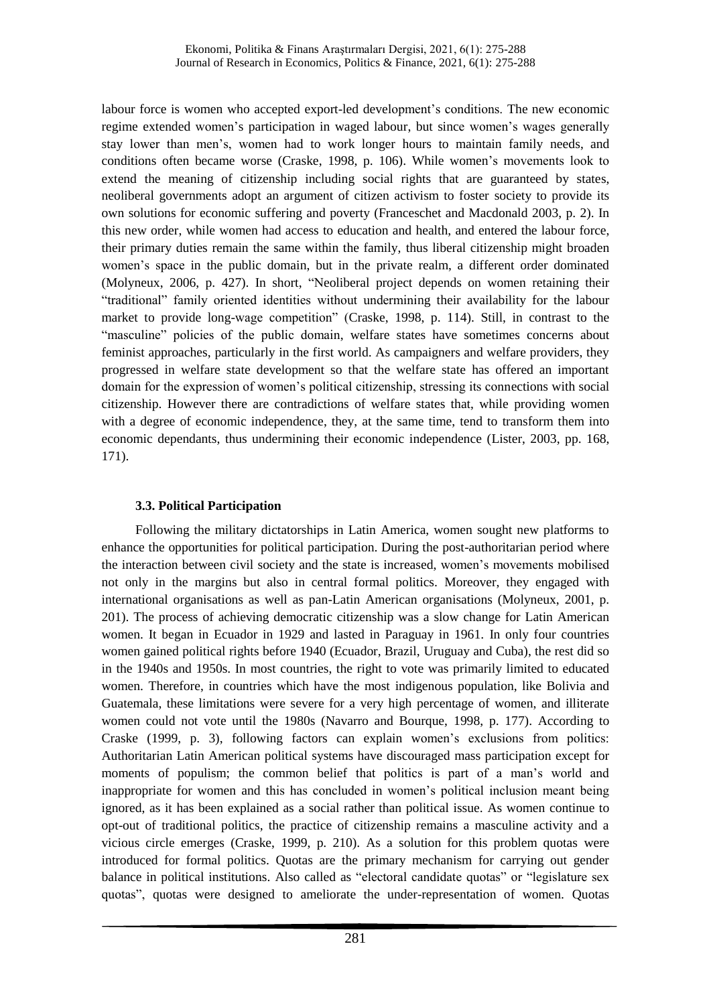labour force is women who accepted export-led development's conditions. The new economic regime extended women's participation in waged labour, but since women's wages generally stay lower than men's, women had to work longer hours to maintain family needs, and conditions often became worse (Craske, 1998, p. 106). While women's movements look to extend the meaning of citizenship including social rights that are guaranteed by states, neoliberal governments adopt an argument of citizen activism to foster society to provide its own solutions for economic suffering and poverty (Franceschet and Macdonald 2003, p. 2). In this new order, while women had access to education and health, and entered the labour force, their primary duties remain the same within the family, thus liberal citizenship might broaden women's space in the public domain, but in the private realm, a different order dominated (Molyneux, 2006, p. 427). In short, "Neoliberal project depends on women retaining their "traditional" family oriented identities without undermining their availability for the labour market to provide long-wage competition" (Craske, 1998, p. 114). Still, in contrast to the "masculine" policies of the public domain, welfare states have sometimes concerns about feminist approaches, particularly in the first world. As campaigners and welfare providers, they progressed in welfare state development so that the welfare state has offered an important domain for the expression of women's political citizenship, stressing its connections with social citizenship. However there are contradictions of welfare states that, while providing women with a degree of economic independence, they, at the same time, tend to transform them into economic dependants, thus undermining their economic independence (Lister, 2003, pp. 168, 171).

# **3.3. Political Participation**

Following the military dictatorships in Latin America, women sought new platforms to enhance the opportunities for political participation. During the post-authoritarian period where the interaction between civil society and the state is increased, women's movements mobilised not only in the margins but also in central formal politics. Moreover, they engaged with international organisations as well as pan-Latin American organisations (Molyneux, 2001, p. 201). The process of achieving democratic citizenship was a slow change for Latin American women. It began in Ecuador in 1929 and lasted in Paraguay in 1961. In only four countries women gained political rights before 1940 (Ecuador, Brazil, Uruguay and Cuba), the rest did so in the 1940s and 1950s. In most countries, the right to vote was primarily limited to educated women. Therefore, in countries which have the most indigenous population, like Bolivia and Guatemala, these limitations were severe for a very high percentage of women, and illiterate women could not vote until the 1980s (Navarro and Bourque, 1998, p. 177). According to Craske (1999, p. 3), following factors can explain women's exclusions from politics: Authoritarian Latin American political systems have discouraged mass participation except for moments of populism; the common belief that politics is part of a man's world and inappropriate for women and this has concluded in women's political inclusion meant being ignored, as it has been explained as a social rather than political issue. As women continue to opt-out of traditional politics, the practice of citizenship remains a masculine activity and a vicious circle emerges (Craske, 1999, p. 210). As a solution for this problem quotas were introduced for formal politics. Quotas are the primary mechanism for carrying out gender balance in political institutions. Also called as "electoral candidate quotas" or "legislature sex quotas", quotas were designed to ameliorate the under-representation of women. Quotas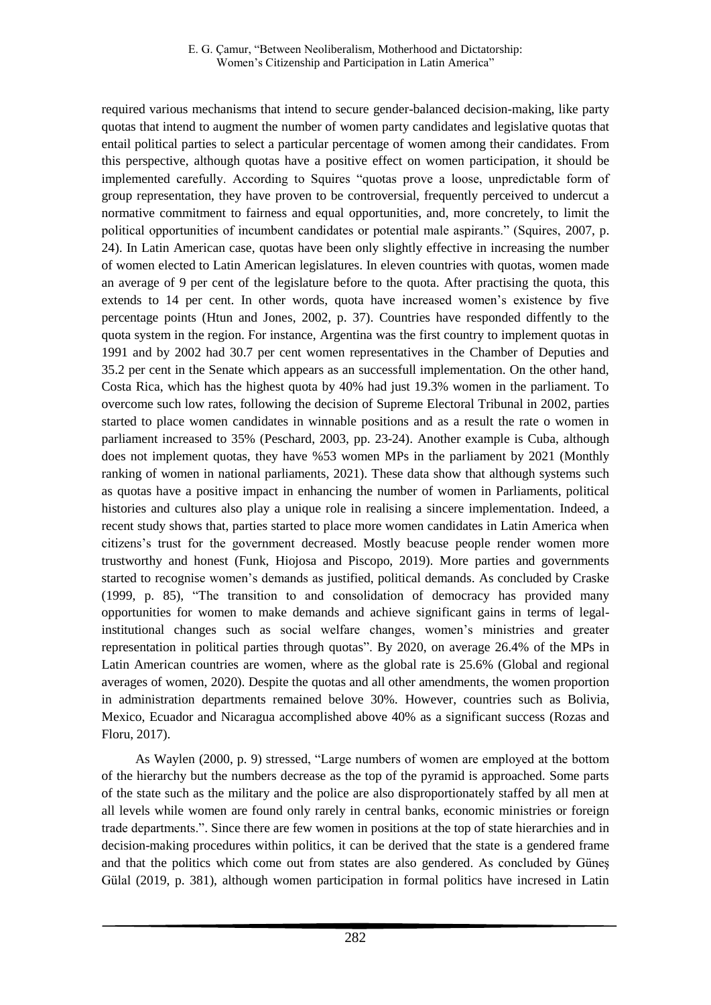#### E. G. Çamur, "Between Neoliberalism, Motherhood and Dictatorship: Women's Citizenship and Participation in Latin America"

required various mechanisms that intend to secure gender-balanced decision-making, like party quotas that intend to augment the number of women party candidates and legislative quotas that entail political parties to select a particular percentage of women among their candidates. From this perspective, although quotas have a positive effect on women participation, it should be implemented carefully. According to Squires "quotas prove a loose, unpredictable form of group representation, they have proven to be controversial, frequently perceived to undercut a normative commitment to fairness and equal opportunities, and, more concretely, to limit the political opportunities of incumbent candidates or potential male aspirants." (Squires, 2007, p. 24). In Latin American case, quotas have been only slightly effective in increasing the number of women elected to Latin American legislatures. In eleven countries with quotas, women made an average of 9 per cent of the legislature before to the quota. After practising the quota, this extends to 14 per cent. In other words, quota have increased women's existence by five percentage points (Htun and Jones, 2002, p. 37). Countries have responded diffently to the quota system in the region. For instance, Argentina was the first country to implement quotas in 1991 and by 2002 had 30.7 per cent women representatives in the Chamber of Deputies and 35.2 per cent in the Senate which appears as an successfull implementation. On the other hand, Costa Rica, which has the highest quota by 40% had just 19.3% women in the parliament. To overcome such low rates, following the decision of Supreme Electoral Tribunal in 2002, parties started to place women candidates in winnable positions and as a result the rate o women in parliament increased to 35% (Peschard, 2003, pp. 23-24). Another example is Cuba, although does not implement quotas, they have %53 women MPs in the parliament by 2021 (Monthly ranking of women in national parliaments, 2021). These data show that although systems such as quotas have a positive impact in enhancing the number of women in Parliaments, political histories and cultures also play a unique role in realising a sincere implementation. Indeed, a recent study shows that, parties started to place more women candidates in Latin America when citizens's trust for the government decreased. Mostly beacuse people render women more trustworthy and honest (Funk, Hiojosa and Piscopo, 2019). More parties and governments started to recognise women's demands as justified, political demands. As concluded by Craske (1999, p. 85), "The transition to and consolidation of democracy has provided many opportunities for women to make demands and achieve significant gains in terms of legalinstitutional changes such as social welfare changes, women's ministries and greater representation in political parties through quotas". By 2020, on average 26.4% of the MPs in Latin American countries are women, where as the global rate is 25.6% (Global and regional averages of women, 2020). Despite the quotas and all other amendments, the women proportion in administration departments remained belove 30%. However, countries such as Bolivia, Mexico, Ecuador and Nicaragua accomplished above 40% as a significant success (Rozas and Floru, 2017).

As Waylen (2000, p. 9) stressed, "Large numbers of women are employed at the bottom of the hierarchy but the numbers decrease as the top of the pyramid is approached. Some parts of the state such as the military and the police are also disproportionately staffed by all men at all levels while women are found only rarely in central banks, economic ministries or foreign trade departments.". Since there are few women in positions at the top of state hierarchies and in decision-making procedures within politics, it can be derived that the state is a gendered frame and that the politics which come out from states are also gendered. As concluded by Güneş Gülal (2019, p. 381), although women participation in formal politics have incresed in Latin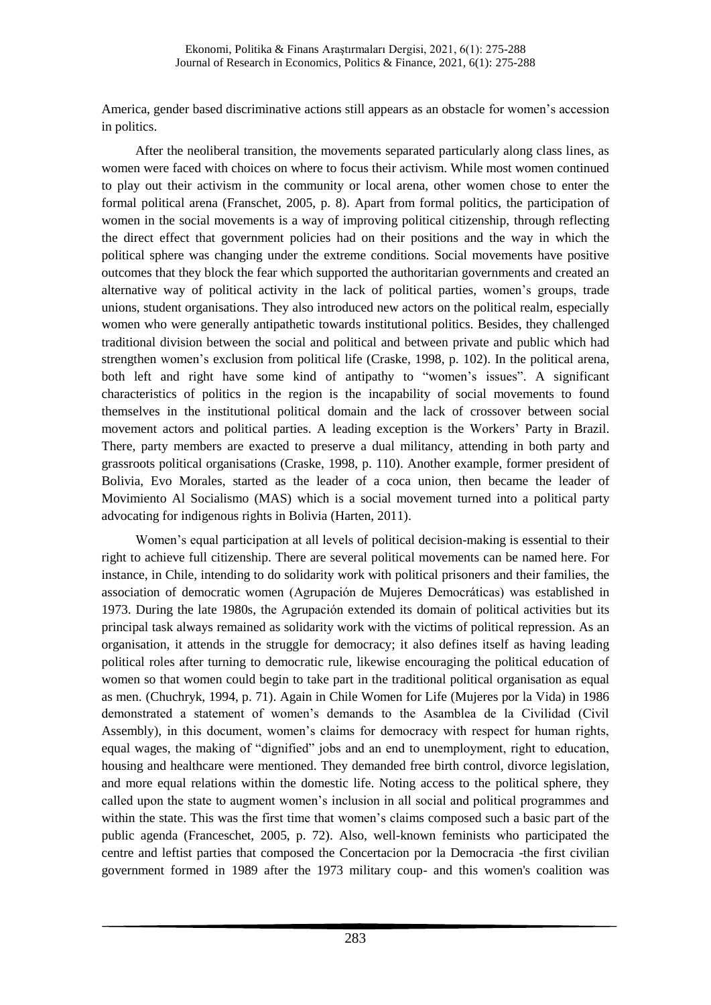America, gender based discriminative actions still appears as an obstacle for women's accession in politics.

After the neoliberal transition, the movements separated particularly along class lines, as women were faced with choices on where to focus their activism. While most women continued to play out their activism in the community or local arena, other women chose to enter the formal political arena (Franschet, 2005, p. 8). Apart from formal politics, the participation of women in the social movements is a way of improving political citizenship, through reflecting the direct effect that government policies had on their positions and the way in which the political sphere was changing under the extreme conditions. Social movements have positive outcomes that they block the fear which supported the authoritarian governments and created an alternative way of political activity in the lack of political parties, women's groups, trade unions, student organisations. They also introduced new actors on the political realm, especially women who were generally antipathetic towards institutional politics. Besides, they challenged traditional division between the social and political and between private and public which had strengthen women's exclusion from political life (Craske, 1998, p. 102). In the political arena, both left and right have some kind of antipathy to "women's issues". A significant characteristics of politics in the region is the incapability of social movements to found themselves in the institutional political domain and the lack of crossover between social movement actors and political parties. A leading exception is the Workers' Party in Brazil. There, party members are exacted to preserve a dual militancy, attending in both party and grassroots political organisations (Craske, 1998, p. 110). Another example, former president of Bolivia, Evo Morales, started as the leader of a coca union, then became the leader of Movimiento Al Socialismo (MAS) which is a social movement turned into a political party advocating for indigenous rights in Bolivia (Harten, 2011).

Women's equal participation at all levels of political decision-making is essential to their right to achieve full citizenship. There are several political movements can be named here. For instance, in Chile, intending to do solidarity work with political prisoners and their families, the association of democratic women (Agrupación de Mujeres Democráticas) was established in 1973. During the late 1980s, the Agrupación extended its domain of political activities but its principal task always remained as solidarity work with the victims of political repression. As an organisation, it attends in the struggle for democracy; it also defines itself as having leading political roles after turning to democratic rule, likewise encouraging the political education of women so that women could begin to take part in the traditional political organisation as equal as men. (Chuchryk, 1994, p. 71). Again in Chile Women for Life (Mujeres por la Vida) in 1986 demonstrated a statement of women's demands to the Asamblea de la Civilidad (Civil Assembly), in this document, women's claims for democracy with respect for human rights, equal wages, the making of "dignified" jobs and an end to unemployment, right to education, housing and healthcare were mentioned. They demanded free birth control, divorce legislation, and more equal relations within the domestic life. Noting access to the political sphere, they called upon the state to augment women's inclusion in all social and political programmes and within the state. This was the first time that women's claims composed such a basic part of the public agenda (Franceschet, 2005, p. 72). Also, well-known feminists who participated the centre and leftist parties that composed the Concertacion por la Democracia -the first civilian government formed in 1989 after the 1973 military coup- and this women's coalition was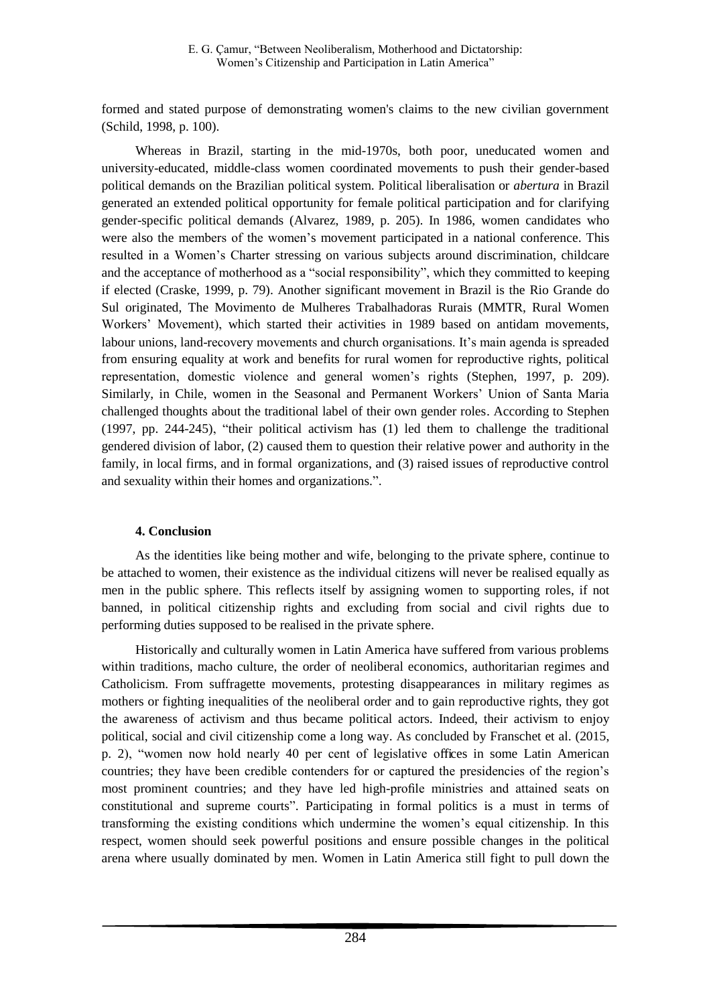formed and stated purpose of demonstrating women's claims to the new civilian government (Schild, 1998, p. 100).

Whereas in Brazil, starting in the mid-1970s, both poor, uneducated women and university-educated, middle-class women coordinated movements to push their gender-based political demands on the Brazilian political system. Political liberalisation or *abertura* in Brazil generated an extended political opportunity for female political participation and for clarifying gender-specific political demands (Alvarez, 1989, p. 205). In 1986, women candidates who were also the members of the women's movement participated in a national conference. This resulted in a Women's Charter stressing on various subjects around discrimination, childcare and the acceptance of motherhood as a "social responsibility", which they committed to keeping if elected (Craske, 1999, p. 79). Another significant movement in Brazil is the Rio Grande do Sul originated, The Movimento de Mulheres Trabalhadoras Rurais (MMTR, Rural Women Workers' Movement), which started their activities in 1989 based on antidam movements, labour unions, land-recovery movements and church organisations. It's main agenda is spreaded from ensuring equality at work and benefits for rural women for reproductive rights, political representation, domestic violence and general women's rights (Stephen, 1997, p. 209). Similarly, in Chile, women in the Seasonal and Permanent Workers' Union of Santa Maria challenged thoughts about the traditional label of their own gender roles. According to Stephen (1997, pp. 244-245), "their political activism has (1) led them to challenge the traditional gendered division of labor, (2) caused them to question their relative power and authority in the family, in local firms, and in formal organizations, and (3) raised issues of reproductive control and sexuality within their homes and organizations.".

### **4. Conclusion**

As the identities like being mother and wife, belonging to the private sphere, continue to be attached to women, their existence as the individual citizens will never be realised equally as men in the public sphere. This reflects itself by assigning women to supporting roles, if not banned, in political citizenship rights and excluding from social and civil rights due to performing duties supposed to be realised in the private sphere.

Historically and culturally women in Latin America have suffered from various problems within traditions, macho culture, the order of neoliberal economics, authoritarian regimes and Catholicism. From suffragette movements, protesting disappearances in military regimes as mothers or fighting inequalities of the neoliberal order and to gain reproductive rights, they got the awareness of activism and thus became political actors. Indeed, their activism to enjoy political, social and civil citizenship come a long way. As concluded by Franschet et al. (2015, p. 2), "women now hold nearly 40 per cent of legislative offices in some Latin American countries; they have been credible contenders for or captured the presidencies of the region's most prominent countries; and they have led high-profile ministries and attained seats on constitutional and supreme courts". Participating in formal politics is a must in terms of transforming the existing conditions which undermine the women's equal citizenship. In this respect, women should seek powerful positions and ensure possible changes in the political arena where usually dominated by men. Women in Latin America still fight to pull down the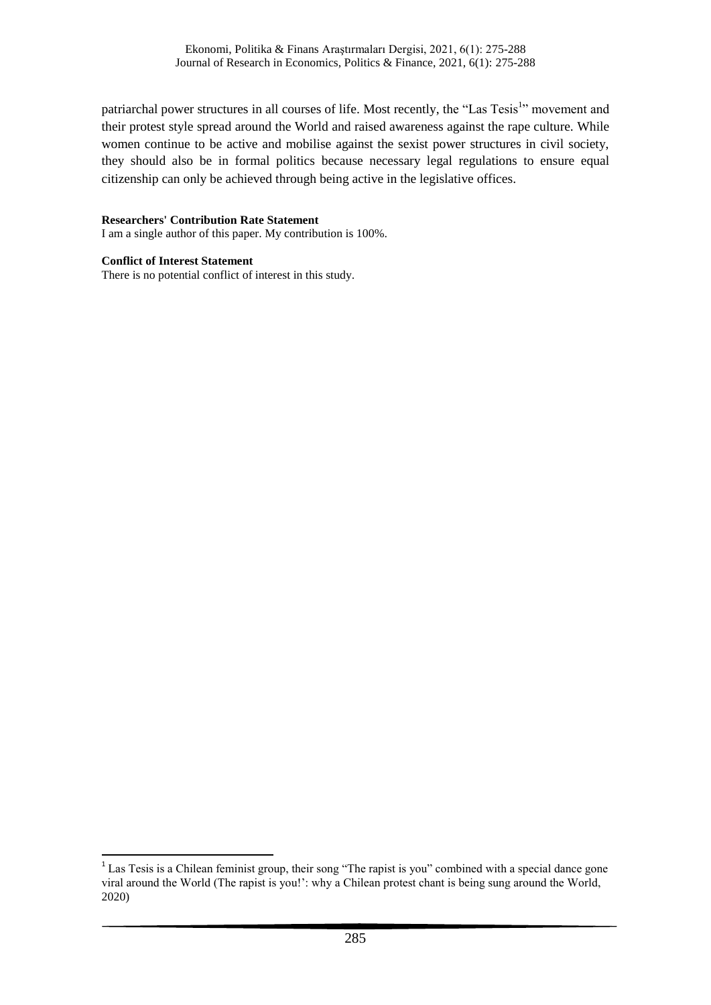patriarchal power structures in all courses of life. Most recently, the "Las Tesis<sup>1</sup>" movement and their protest style spread around the World and raised awareness against the rape culture. While women continue to be active and mobilise against the sexist power structures in civil society, they should also be in formal politics because necessary legal regulations to ensure equal citizenship can only be achieved through being active in the legislative offices.

#### **Researchers' Contribution Rate Statement**

I am a single author of this paper. My contribution is 100%.

#### **Conflict of Interest Statement**

**.** 

There is no potential conflict of interest in this study.

<sup>&</sup>lt;sup>1</sup> Las Tesis is a Chilean feminist group, their song "The rapist is you" combined with a special dance gone viral around the World (The rapist is you!': why a Chilean protest chant is being sung around the World, 2020)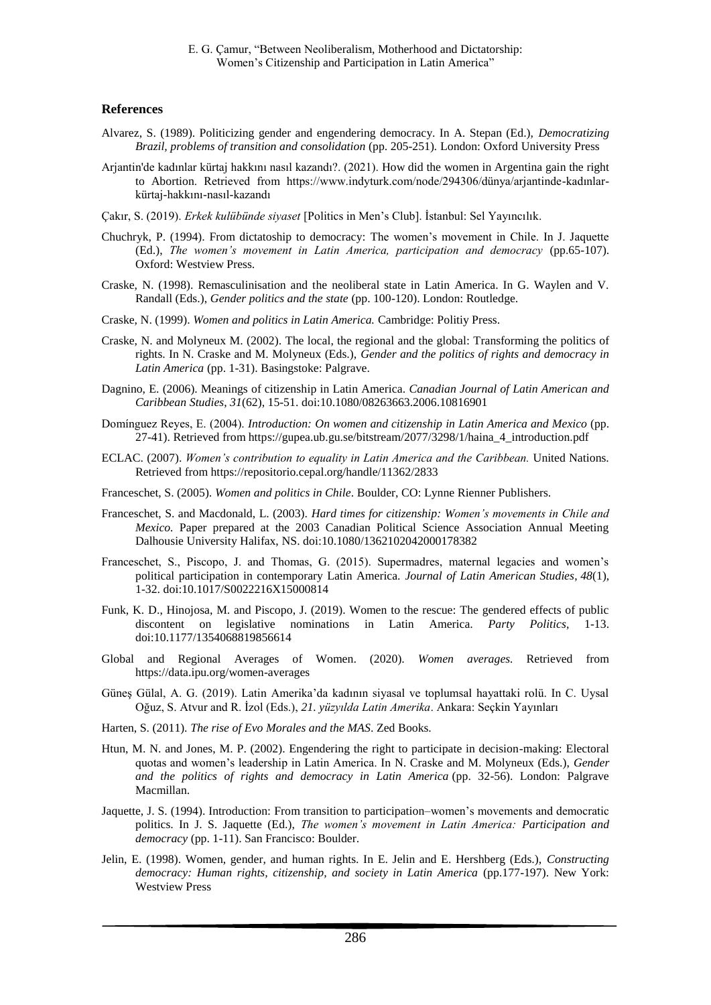#### **References**

- Alvarez, S. (1989). Politicizing gender and engendering democracy. In A. Stepan (Ed.), *Democratizing Brazil, problems of transition and consolidation* (pp. 205-251)*.* London: Oxford University Press
- Arjantin'de kadınlar kürtaj hakkını nasıl kazandı?. (2021). How did the women in Argentina gain the right to Abortion. Retrieved from https://www.indyturk.com/node/294306/dünya/arjantinde-kadınlarkürtaj-hakkını-nasıl-kazandı
- Çakır, S. (2019). *Erkek kulübünde siyaset* [Politics in Men's Club]. İstanbul: Sel Yayıncılık.
- Chuchryk, P. (1994). From dictatoship to democracy: The women's movement in Chile. In J. Jaquette (Ed.), *The women's movement in Latin America, participation and democracy* (pp.65-107). Oxford: Westview Press.
- Craske, N. (1998). Remasculinisation and the neoliberal state in Latin America. In G. Waylen and V. Randall (Eds.), *Gender politics and the state* (pp. 100-120). London: Routledge.
- Craske, N. (1999). *Women and politics in Latin America.* Cambridge: Politiy Press.
- Craske, N. and Molyneux M. (2002). The local, the regional and the global: Transforming the politics of rights. In N. Craske and M. Molyneux (Eds.), *Gender and the politics of rights and democracy in Latin America* (pp. 1-31). Basingstoke: Palgrave.
- Dagnino, E. (2006). Meanings of citizenship in Latin America. *Canadian Journal of Latin American and Caribbean Studies*, *31*(62), 15-51. doi:10.1080/08263663.2006.10816901
- Domínguez Reyes, E. (2004). *Introduction: On women and citizenship in Latin America and Mexico* (pp. 27-41). Retrieved from https://gupea.ub.gu.se/bitstream/2077/3298/1/haina\_4\_introduction.pdf
- ECLAC. (2007). *Women's contribution to equality in Latin America and the Caribbean.* United Nations. Retrieved from https://repositorio.cepal.org/handle/11362/2833
- Franceschet, S. (2005). *Women and politics in Chile*. Boulder, CO: Lynne Rienner Publishers.
- Franceschet, S. and Macdonald, L. (2003). *Hard times for citizenship: Women's movements in Chile and Mexico.* Paper prepared at the 2003 Canadian Political Science Association Annual Meeting Dalhousie University Halifax, NS. doi:10.1080/1362102042000178382
- Franceschet, S., Piscopo, J. and Thomas, G. (2015). Supermadres, maternal legacies and women's political participation in contemporary Latin America. *Journal of Latin American Studies*, *48*(1), 1-32. doi:10.1017/S0022216X15000814
- Funk, K. D., Hinojosa, M. and Piscopo, J. (2019). Women to the rescue: The gendered effects of public discontent on legislative nominations in Latin America. *Party Politics,* 1-13. doi:10.1177/1354068819856614
- Global and Regional Averages of Women. (2020). *Women averages.* Retrieved from <https://data.ipu.org/women-averages>
- Güneş Gülal, A. G. (2019). Latin Amerika'da kadının siyasal ve toplumsal hayattaki rolü. In C. Uysal Oğuz, S. Atvur and R. İzol (Eds.), *21. yüzyılda Latin Amerika*. Ankara: Seçkin Yayınları
- Harten, S. (2011). *The rise of Evo Morales and the MAS*. Zed Books.
- Htun, M. N. and Jones, M. P. (2002). Engendering the right to participate in decision-making: Electoral quotas and women's leadership in Latin America. In N. Craske and M. Molyneux (Eds.), *Gender and the politics of rights and democracy in Latin America* (pp. 32-56). London: Palgrave Macmillan.
- Jaquette, J. S. (1994). Introduction: From transition to participation–women's movements and democratic politics. In J. S. Jaquette (Ed.), *The women's movement in Latin America: Participation and democracy* (pp. 1-11). San Francisco: Boulder.
- Jelin, E. (1998). Women, gender, and human rights. In E. Jelin and E. Hershberg (Eds.), *Constructing democracy: Human rights, citizenship, and society in Latin America (pp.177-197). New York:* Westview Press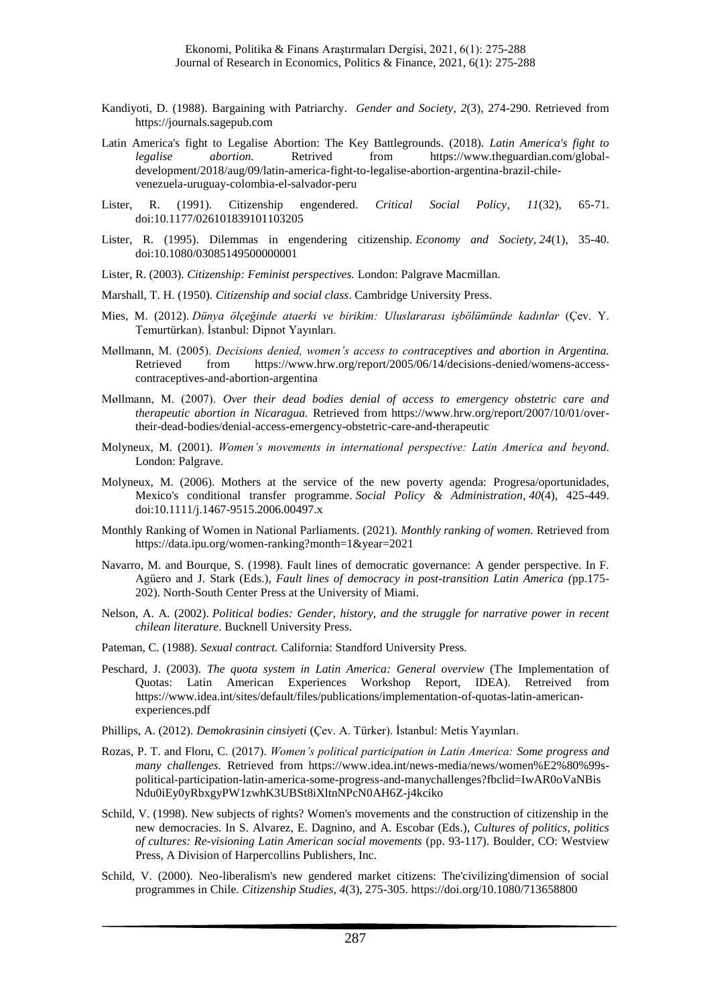- Kandiyoti, D. (1988). Bargaining with Patriarchy. *Gender and Society*, *2*(3), 274-290. Retrieved from https://journals.sagepub.com
- Latin America's fight to Legalise Abortion: The Key Battlegrounds. (2018). *Latin America's fight to legalise abortion.* Retrived from https://www.theguardian.com/globaldevelopment/2018/aug/09/latin-america-fight-to-legalise-abortion-argentina-brazil-chilevenezuela-uruguay-colombia-el-salvador-peru
- Lister, R. (1991). Citizenship engendered. *Critical Social Policy*, *11*(32), 65-71. doi:10.1177/026101839101103205
- Lister, R. (1995). Dilemmas in engendering citizenship. *Economy and Society*, *24*(1), 35-40. doi:10.1080/03085149500000001
- Lister, R. (2003). *Citizenship: Feminist perspectives.* London: Palgrave Macmillan.
- Marshall, T. H. (1950). *Citizenship and social class*. Cambridge University Press.
- Mies, M. (2012). *Dünya ölçeğinde ataerki ve birikim: Uluslararası işbölümünde kadınlar* (Çev. Y. Temurtürkan). İstanbul: Dipnot Yayınları.
- Møllmann, M. (2005). *Decisions denied, women's access to contraceptives and abortion in Argentina.* Retrieved from https://www.hrw.org/report/2005/06/14/decisions-denied/womens-accesscontraceptives-and-abortion-argentina
- Møllmann, M. (2007). *Over their dead bodies denial of access to emergency obstetric care and therapeutic abortion in Nicaragua.* Retrieved from https://www.hrw.org/report/2007/10/01/overtheir-dead-bodies/denial-access-emergency-obstetric-care-and-therapeutic
- Molyneux, M. (2001). *Women's movements in international perspective: Latin America and beyond.* London: Palgrave.
- Molyneux, M. (2006). Mothers at the service of the new poverty agenda: Progresa/oportunidades, Mexico's conditional transfer programme. *Social Policy & Administration*, *40*(4), 425-449. doi:10.1111/j.1467-9515.2006.00497.x
- Monthly Ranking of Women in National Parliaments. (2021). *Monthly ranking of women.* Retrieved from https://data.ipu.org/women-ranking?month=1&year=2021
- Navarro, M. and Bourque, S. (1998). Fault lines of democratic governance: A gender perspective. In F. Agüero and J. Stark (Eds.), *Fault lines of democracy in post-transition Latin America (*pp.175- 202). North-South Center Press at the University of Miami.
- Nelson, A. A. (2002). *Political bodies: Gender, history, and the struggle for narrative power in recent chilean literature*. Bucknell University Press.
- Pateman, C. (1988). *Sexual contract.* California: Standford University Press.
- Peschard, J. (2003). *The quota system in Latin America: General overview* (The Implementation of Quotas: Latin American Experiences Workshop Report, IDEA). Retreived from https://www.idea.int/sites/default/files/publications/implementation-of-quotas-latin-americanexperiences.pdf
- Phillips, A. (2012). *Demokrasinin cinsiyeti* (Çev. A. Türker). İstanbul: Metis Yayınları.
- Rozas, P. T. and Floru, C. (2017). *Women's political participation in Latin America: Some progress and many challenges.* Retrieved from https://www.idea.int/news-media/news/women%E2%80%99spolitical-participation-latin-america-some-progress-and-manychallenges?fbclid=IwAR0oVaNBis Ndu0iEy0yRbxgyPW1zwhK3UBSt8iXltnNPcN0AH6Z-j4kciko
- Schild, V. (1998). New subjects of rights? Women's movements and the construction of citizenship in the new democracies. In S. Alvarez, E. Dagnino, and A. Escobar (Eds.), *Cultures of politics, politics of cultures: Re-visioning Latin American social movements* (pp. 93-117). Boulder, CO: Westview Press, A Division of Harpercollins Publishers, Inc.
- Schild, V. (2000). Neo-liberalism's new gendered market citizens: The'civilizing'dimension of social programmes in Chile. *Citizenship Studies*, *4*(3), 275-305. https://doi.org/10.1080/713658800